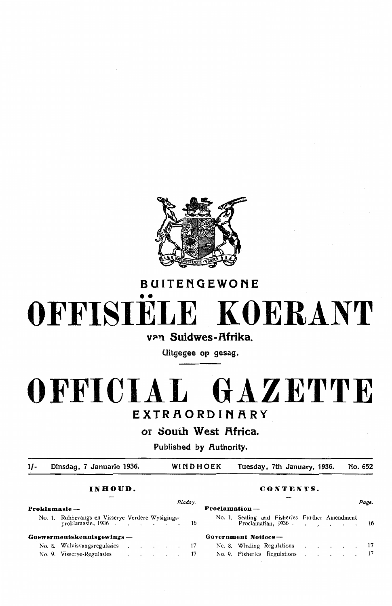

#### BUITENGEWONE

# •• OFFISIELE KOERANT

#### van Suidwes-Afrika.

Uitgegee op gesag.

# OFFICIAL GAZETTE EXTRAORDINARY

#### or Souih West f\frica.

Published by Authority.

 $1/-$ Dinsdag, 7 Januarie 1936. WIND HOEK Tuesday, 7th January, 1936. No. 652

#### **INBOUD. CONTENTS.**

|               |                                                                           |  |  |  | Bladsv.          |                                                | Page. |  |  |  |
|---------------|---------------------------------------------------------------------------|--|--|--|------------------|------------------------------------------------|-------|--|--|--|
| Proklamasie — |                                                                           |  |  |  | $Proclamation -$ |                                                |       |  |  |  |
|               | No. 1. Robbevangs en Visserye Verdere Wysigings-<br>proklamasie, 1936. 16 |  |  |  |                  | No. 1. Sealing and Fisheries Further Amendment |       |  |  |  |
|               | $G$ oewermentskennisgewings —                                             |  |  |  |                  | Government Notices -                           |       |  |  |  |
|               | No. 8. Walvisvangsregulasies 17                                           |  |  |  |                  | No. 8. Whaling Regulations 17                  |       |  |  |  |
|               | No. 9. Visserve-Regulasies (b)   17                                       |  |  |  |                  | No. 9. Fisheries Regulations 17                |       |  |  |  |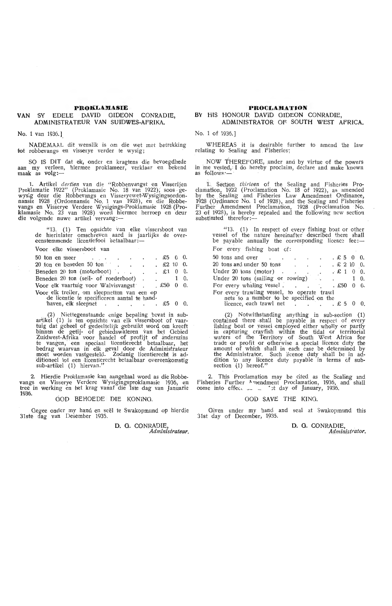#### **PROKLAMASIE**

#### **VAN** SY EDELE DAVID GIDEON CONRADIE, ADMINISTRATEUR VAN SUIDWES-AFRIKA.

No. 1 van 1936. ].

NADEMAAL dit wenslik is om die wet met betrekking tot robbevangs en visserye verder te wysig;

SO IS DIT dat ek, onder en kragtens die bevoegdhede aan my verleen, hiermee proklameer, verklaar en bekend maak as volg:---

1. Artikel *dertien* van die "Robbenvangst en Visserijen<br>Proklamatie 1922" (Proklamasie No. 18 van 1922), soos ge-<br>wysig deur die Robbevangs en Visseryewet-Wysigingsordonnansie 1928 .(Ordonnansie No. 1 van 1928), en die Robbe-<br>vangs en Visserye Verdere Wysigings-Proklamasie 1928 (Proklamasie No. 23 van 1928) word hiermee herroep en deur<br>die volgende nuwe artikel vervang:—

"13. (1) Ten opzichte van elke vissersboot van de hierinlater omschreven aard is jaarlijks de over-<br>eenstemmende licentiefooi betaalbaar :-

Voor elke vissersboot van

| 50 ton en meer                                        |  | the contract of the contract of |  |                      | $\therefore$ \$5 0 0. |            |  |  |  |  |
|-------------------------------------------------------|--|---------------------------------|--|----------------------|-----------------------|------------|--|--|--|--|
|                                                       |  |                                 |  | $\ddot{\phantom{0}}$ |                       | $£2$ 10 0. |  |  |  |  |
| Beneden 20 ton (motorboot)                            |  |                                 |  |                      | $\therefore$ £1 0 0.  |            |  |  |  |  |
| Beneden 20 ton (seil- of roederboot).                 |  |                                 |  |                      | $\sim$ $\sim$ $\sim$  | 1 0.       |  |  |  |  |
| Voor elk vaartuig voor Walvisvangst $\pounds$ 50 0 0. |  |                                 |  |                      |                       |            |  |  |  |  |
| Voor elk treiler, om sleepnetten van een op           |  |                                 |  |                      |                       |            |  |  |  |  |
| de licentie te specificeren aantal te hand-           |  |                                 |  |                      |                       |            |  |  |  |  |
| haven, elk sleepnet                                   |  |                                 |  |                      |                       |            |  |  |  |  |

.- (2) Niettegenstaande enige bepaling bevat in subartikel (1) is ten opzichte van elk vissersboot of vaar-<br>tuig dat geheel of gedeeltelijk gebruikt word om kreeft binnen de getij- of gebiedswateren van het Gebied Zuidwest-Afrika voor handel of profijt of anderszins te vangen, een speciaal licentierecht betaalbaar, het bedrag waarvan in elk geval door de Administrateur moet worden vastgesteld. Zodanig licentierecht is ad• ditioneel tot een licentierecht betaalbaar overeenkomstig<br>sub-artikel (1) hiervan."

2. Hierdie Proklamasie kan aangehaal word as die Robbevangs en Visserye Verdere Wysigingsproklamasie 1936, en<br>tree in werking en het krag vanaf die 1ste dag van Januarie 1936.

#### GOD BEHOEDE DIE KONING.

Gegee onder my hand en seël te Swakopmund op hierdie 31ste dag van Desember 1935.

> **D. 0. CONRADIE,**  *Administrateur.*

#### **PROCLAJIATION**  BY HIS HONOUR DAVID GIDEON CONRADIE, ADMINISTRATOR OF SOUTH WEST AFRICA.

No. 1 of 1936.]

WHEREAS it is desirable further to amend the law relating to Sealing and Fisheries;

NOW THEREFORE, under and by virtue of the powers in me vested, I do hereby proclaim, declare and make known as follows ·-

1. Section *thirteen* of the Sealing and Fisheries Proclamation, 1922 (Proclamation No. 18 of 1922), as amended by the Sealing and Fisheries Law Amendment Ordinance, 1928 (Ordinance No. 1 of 1928), and the Sealing and Fisheries Further Amendment Proclamation, 1928 (Proclamation No.<br>23 of 1928), is hereby repealed and the following new section<br>substituted therefor:—

 $"13.$  (1) In respect of every fishing boat or other vessel of the nature hereinafter described there shall<br>be payable annually the corresponding licence fee:— For every fishing boat of:

| 50 tons and over                                                                       |  |  |                                                      |  | $E5 \t0 \t0.$         |  |  |  |  |  |
|----------------------------------------------------------------------------------------|--|--|------------------------------------------------------|--|-----------------------|--|--|--|--|--|
| 20 tons and under 50 tons                                                              |  |  | $\therefore$ $\therefore$ $\therefore$ $\in$ 2 10 0. |  |                       |  |  |  |  |  |
| Under $20$ tons (motor).                                                               |  |  | بالمهرب الهادات                                      |  | $\therefore$ £ 1 0 0. |  |  |  |  |  |
| Under 20 tons (sailing or rowing) $\ldots$ 1 0.                                        |  |  |                                                      |  |                       |  |  |  |  |  |
| For every whaling vessel. £50 0 0.                                                     |  |  |                                                      |  |                       |  |  |  |  |  |
| For every trawling vessel, to operate trawl<br>nets to a number to be specified on the |  |  |                                                      |  |                       |  |  |  |  |  |
| licence, each trawl net $\therefore$ $\therefore$ $\therefore$ $\therefore$ 5 0        |  |  |                                                      |  |                       |  |  |  |  |  |

(2) Notwithstanding anything in sub-section (1) contained there shall be payable in respect of every fishing boat or vessel employed either wholly or partly in capturing crayfish within the tidal or territorial waters of fhe Territory of South West Africa for trade or profit or otherwise a special licence duty the amount of which shall in each case be determined by the Administrator. Such licenoe duty shall be in addition to any licence duty payable in terms of subsection (1) hereof."

2. This Proclamation may be cited as the Sealing and Fisheries Further "·nendment Proclamation, 1936, and shall oome into effec, -·· .. • ~t day of January, 1936.

#### GOD SAVE THE KING.

Given under my hand and seal at Swakopmund this 31st day of December, 1935.

> D. 0. CONRADIE, *Administrator.*